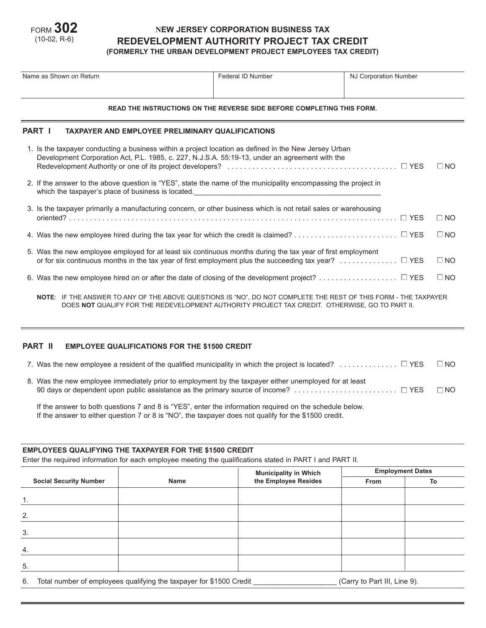

## **NEW JERSEY CORPORATION BUSINESS TAX REDEVELOPMENT AUTHORITY PROJECT TAX CREDIT (FORMERLY THE URBAN DEVELOPMENT PROJECT EMPLOYEES TAX CREDIT)**

| Name as Shown on Return                                                |                                                                                                                                                                                                                                                 | Federal ID Number | NJ Corporation Number |              |  |  |  |
|------------------------------------------------------------------------|-------------------------------------------------------------------------------------------------------------------------------------------------------------------------------------------------------------------------------------------------|-------------------|-----------------------|--------------|--|--|--|
| READ THE INSTRUCTIONS ON THE REVERSE SIDE BEFORE COMPLETING THIS FORM. |                                                                                                                                                                                                                                                 |                   |                       |              |  |  |  |
| <b>PART I</b>                                                          | <b>TAXPAYER AND EMPLOYEE PRELIMINARY QUALIFICATIONS</b>                                                                                                                                                                                         |                   |                       |              |  |  |  |
|                                                                        | 1. Is the taxpayer conducting a business within a project location as defined in the New Jersey Urban<br>Development Corporation Act, P.L. 1985, c. 227, N.J.S.A. 55:19-13, under an agreement with the                                         |                   |                       | $\square$ NO |  |  |  |
|                                                                        | 2. If the answer to the above question is "YES", state the name of the municipality encompassing the project in<br>which the taxpayer's place of business is located. The matter of the control of the taxpayer's place of business is located. |                   |                       |              |  |  |  |
|                                                                        | 3. Is the taxpayer primarily a manufacturing concern, or other business which is not retail sales or warehousing                                                                                                                                |                   |                       | $\Box$ NO    |  |  |  |
|                                                                        |                                                                                                                                                                                                                                                 |                   |                       | $\square$ NO |  |  |  |
|                                                                        | 5. Was the new employee employed for at least six continuous months during the tax year of first employment<br>or for six continuous months in the tax year of first employment plus the succeeding tax year? $\square$ YES                     |                   |                       | $\square$ NO |  |  |  |
|                                                                        |                                                                                                                                                                                                                                                 |                   |                       | $\square$ NO |  |  |  |
|                                                                        | NOTE: IF THE ANSWER TO ANY OF THE ABOVE QUESTIONS IS "NO", DO NOT COMPLETE THE REST OF THIS FORM - THE TAXPAYER                                                                                                                                 |                   |                       |              |  |  |  |

DOES **NOT** QUALIFY FOR THE REDEVELOPMENT AUTHORITY PROJECT TAX CREDIT. OTHERWISE, GO TO PART II.

## **PART II EMPLOYEE QUALIFICATIONS FOR THE \$1500 CREDIT**

| 7. Was the new employee a resident of the qualified municipality in which the project is located? $\square$ YES | $\square$ NO |
|-----------------------------------------------------------------------------------------------------------------|--------------|
| 8. Was the new employee immediately prior to employment by the taxpayer either unemployed for at least          | $\Box$ NO    |
| If the answer to both questions 7 and 8 is "YES", enter the information required on the schedule below.         |              |

If the answer to either question 7 or 8 is "NO", the taxpayer does not qualify for the \$1500 credit.

### **EMPLOYEES QUALIFYING THE TAXPAYER FOR THE \$1500 CREDIT**

Enter the required information for each employee meeting the qualifications stated in PART I and PART II.

|                               | Name |                                                       | <b>Employment Dates</b> |    |  |
|-------------------------------|------|-------------------------------------------------------|-------------------------|----|--|
| <b>Social Security Number</b> |      | <b>Municipality in Which<br/>the Employee Resides</b> | From                    | To |  |
| 1.                            |      |                                                       |                         |    |  |
| 2.                            |      |                                                       |                         |    |  |
| 3.                            |      |                                                       |                         |    |  |
| 4.                            |      |                                                       |                         |    |  |
| 5.                            |      |                                                       |                         |    |  |
|                               |      |                                                       |                         |    |  |

6. Total number of employees qualifying the taxpayer for \$1500 Credit \_\_\_\_\_\_\_\_\_\_\_\_\_\_\_\_\_\_\_\_(Carry to Part III, Line 9).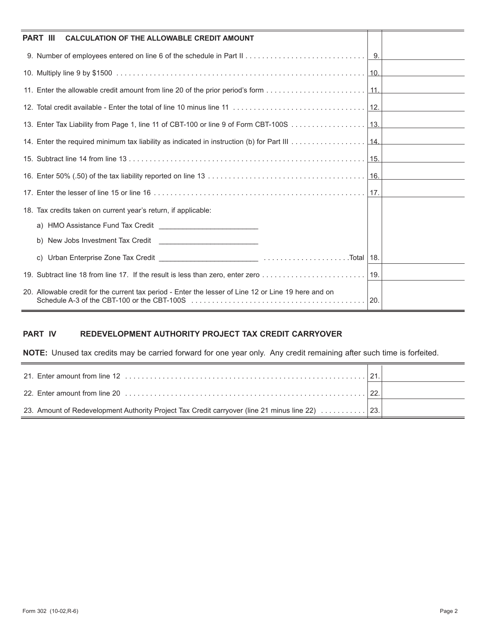| <b>PART III</b><br><b>CALCULATION OF THE ALLOWABLE CREDIT AMOUNT</b>                                 |     |
|------------------------------------------------------------------------------------------------------|-----|
|                                                                                                      |     |
|                                                                                                      |     |
|                                                                                                      |     |
|                                                                                                      |     |
|                                                                                                      |     |
|                                                                                                      |     |
|                                                                                                      |     |
|                                                                                                      |     |
|                                                                                                      |     |
| 18. Tax credits taken on current year's return, if applicable:                                       |     |
|                                                                                                      |     |
| b) New Jobs Investment Tax Credit<br><u> 1980 - Andrea Andrew Maria (b. 1980)</u>                    |     |
|                                                                                                      | 18. |
|                                                                                                      |     |
| 20. Allowable credit for the current tax period - Enter the lesser of Line 12 or Line 19 here and on | 20. |

# **PART IV REDEVELOPMENT AUTHORITY PROJECT TAX CREDIT CARRYOVER**

**NOTE:** Unused tax credits may be carried forward for one year only. Any credit remaining after such time is forfeited.

| 23. Amount of Redevelopment Authority Project Tax Credit carryover (line 21 minus line 22) 23. |  |
|------------------------------------------------------------------------------------------------|--|